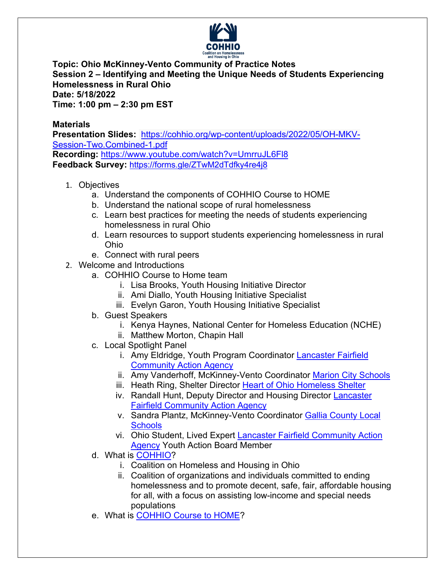

**Topic: Ohio McKinney-Vento Community of Practice Notes Session 2 – Identifying and Meeting the Unique Needs of Students Experiencing Homelessness in Rural Ohio Date: 5/18/2022 Time: 1:00 pm – 2:30 pm EST**

**Materials**

**Presentation Slides:** https://cohhio.org/wp-content/uploads/2022/05/OH-MKV-Session-Two.Combined-1.pdf **Recording:** https://www.youtube.com/watch?v=UmrruJL6Fl8

**Feedback Survey:** https://forms.gle/ZTwM2dTdfky4re4j8

- 1. Objectives
	- a. Understand the components of COHHIO Course to HOME
	- b. Understand the national scope of rural homelessness
	- c. Learn best practices for meeting the needs of students experiencing homelessness in rural Ohio
	- d. Learn resources to support students experiencing homelessness in rural Ohio
	- e. Connect with rural peers
- 2. Welcome and Introductions
	- a. COHHIO Course to Home team
		- i. Lisa Brooks, Youth Housing Initiative Director
		- ii. Ami Diallo, Youth Housing Initiative Specialist
		- iii. Evelyn Garon, Youth Housing Initiative Specialist
	- b. Guest Speakers
		- i. Kenya Haynes, National Center for Homeless Education (NCHE)
		- ii. Matthew Morton, Chapin Hall
	- c. Local Spotlight Panel
		- i. Amy Eldridge, Youth Program Coordinator Lancaster Fairfield Community Action Agency
		- ii. Amy Vanderhoff, McKinney-Vento Coordinator Marion City Schools
		- iii. Heath Ring, Shelter Director Heart of Ohio Homeless Shelter
		- iv. Randall Hunt, Deputy Director and Housing Director Lancaster Fairfield Community Action Agency
		- v. Sandra Plantz, McKinney-Vento Coordinator Gallia County Local **Schools**
		- vi. Ohio Student, Lived Expert Lancaster Fairfield Community Action Agency Youth Action Board Member
	- d. What is COHHIO?
		- i. Coalition on Homeless and Housing in Ohio
		- ii. Coalition of organizations and individuals committed to ending homelessness and to promote decent, safe, fair, affordable housing for all, with a focus on assisting low-income and special needs populations
	- e. What is **COHHIO Course to HOME?**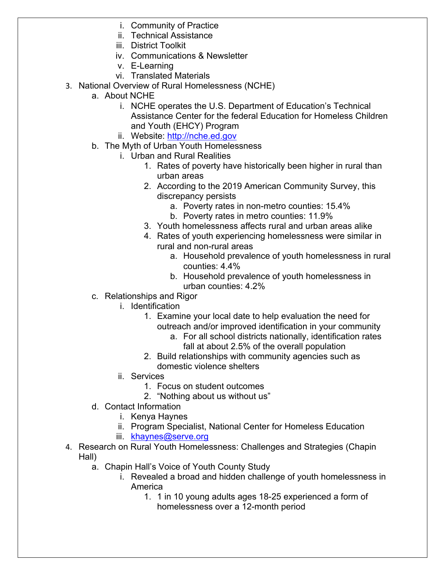- i. Community of Practice
- ii. Technical Assistance
- iii. District Toolkit
- iv. Communications & Newsletter
- v. E-Learning
- vi. Translated Materials
- 3. National Overview of Rural Homelessness (NCHE)
	- a. About NCHE
		- i. NCHE operates the U.S. Department of Education's Technical Assistance Center for the federal Education for Homeless Children and Youth (EHCY) Program
		- ii. Website: http://nche.ed.gov
	- b. The Myth of Urban Youth Homelessness
		- i. Urban and Rural Realities
			- 1. Rates of poverty have historically been higher in rural than urban areas
			- 2. According to the 2019 American Community Survey, this discrepancy persists
				- a. Poverty rates in non-metro counties: 15.4%
				- b. Poverty rates in metro counties: 11.9%
			- 3. Youth homelessness affects rural and urban areas alike
			- 4. Rates of youth experiencing homelessness were similar in rural and non-rural areas
				- a. Household prevalence of youth homelessness in rural counties: 4.4%
				- b. Household prevalence of youth homelessness in urban counties: 4.2%
	- c. Relationships and Rigor
		- i. Identification
			- 1. Examine your local date to help evaluation the need for outreach and/or improved identification in your community
				- a. For all school districts nationally, identification rates fall at about 2.5% of the overall population
			- 2. Build relationships with community agencies such as domestic violence shelters
		- ii. Services
			- 1. Focus on student outcomes
			- 2. "Nothing about us without us"
	- d. Contact Information
		- i. Kenya Haynes
		- ii. Program Specialist, National Center for Homeless Education
		- iii. khaynes@serve.org
- 4. Research on Rural Youth Homelessness: Challenges and Strategies (Chapin Hall)
	- a. Chapin Hall's Voice of Youth County Study
		- i. Revealed a broad and hidden challenge of youth homelessness in America
			- 1. 1 in 10 young adults ages 18-25 experienced a form of homelessness over a 12-month period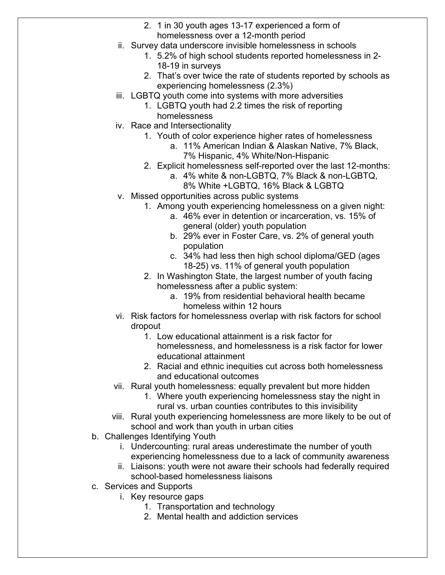- 2. 1 in 30 youth ages 13-17 experienced a form of homelessness over a 12-month period
- ii. Survey data underscore invisible homelessness in schools
	- 1. 5.2% of high school students reported homelessness in 2- 18-19 in surveys
	- 2. That's over twice the rate of students reported by schools as experiencing homelessness (2.3%)
- iii. LGBTQ youth come into systems with more adversities
	- 1. LGBTQ youth had 2.2 times the risk of reporting homelessness
- iv. Race and Intersectionality
	- 1. Youth of color experience higher rates of homelessness
		- a. 11% American Indian & Alaskan Native, 7% Black, 7% Hispanic, 4% White/Non-Hispanic
	- 2. Explicit homelessness self-reported over the last 12-months:
		- a. 4% white & non-LGBTQ, 7% Black & non-LGBTQ, 8% White +LGBTQ, 16% Black & LGBTQ
- v. Missed opportunities across public systems
	- 1. Among youth experiencing homelessness on a given night:
		- a. 46% ever in detention or incarceration, vs. 15% of general (older) youth population
		- b. 29% ever in Foster Care, vs. 2% of general youth population
		- c. 34% had less then high school diploma/GED (ages 18-25) vs. 11% of general youth population
	- 2. In Washington State, the largest number of youth facing homelessness after a public system:
		- a. 19% from residential behavioral health became homeless within 12 hours
- vi. Risk factors for homelessness overlap with risk factors for school dropout
	- 1. Low educational attainment is a risk factor for homelessness, and homelessness is a risk factor for lower educational attainment
	- 2. Racial and ethnic inequities cut across both homelessness and educational outcomes
- vii. Rural youth homelessness: equally prevalent but more hidden
	- 1. Where youth experiencing homelessness stay the night in rural vs. urban counties contributes to this invisibility
- viii. Rural youth experiencing homelessness are more likely to be out of school and work than youth in urban cities
- b. Challenges Identifying Youth
	- i. Undercounting: rural areas underestimate the number of youth experiencing homelessness due to a lack of community awareness
	- ii. Liaisons: youth were not aware their schools had federally required school-based homelessness liaisons
- c. Services and Supports
	- i. Key resource gaps
		- 1. Transportation and technology
		- 2. Mental health and addiction services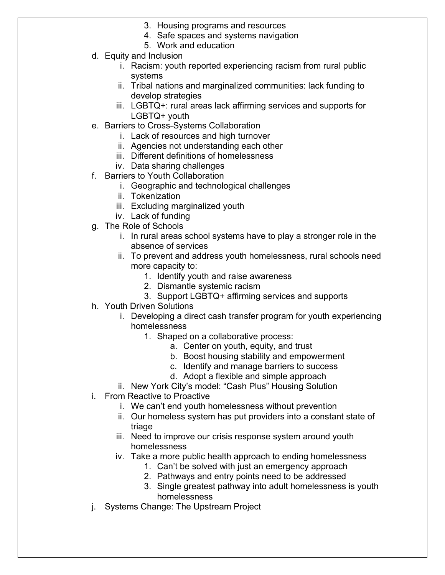- 3. Housing programs and resources
- 4. Safe spaces and systems navigation
- 5. Work and education
- d. Equity and Inclusion
	- i. Racism: youth reported experiencing racism from rural public systems
	- ii. Tribal nations and marginalized communities: lack funding to develop strategies
	- iii. LGBTQ+: rural areas lack affirming services and supports for LGBTQ+ youth
- e. Barriers to Cross-Systems Collaboration
	- i. Lack of resources and high turnover
	- ii. Agencies not understanding each other
	- iii. Different definitions of homelessness
	- iv. Data sharing challenges
- f. Barriers to Youth Collaboration
	- i. Geographic and technological challenges
	- ii. Tokenization
	- iii. Excluding marginalized youth
	- iv. Lack of funding
- g. The Role of Schools
	- i. In rural areas school systems have to play a stronger role in the absence of services
	- ii. To prevent and address youth homelessness, rural schools need more capacity to:
		- 1. Identify youth and raise awareness
		- 2. Dismantle systemic racism
		- 3. Support LGBTQ+ affirming services and supports
- h. Youth Driven Solutions
	- i. Developing a direct cash transfer program for youth experiencing homelessness
		- 1. Shaped on a collaborative process:
			- a. Center on youth, equity, and trust
			- b. Boost housing stability and empowerment
			- c. Identify and manage barriers to success
			- d. Adopt a flexible and simple approach
	- ii. New York City's model: "Cash Plus" Housing Solution
- i. From Reactive to Proactive
	- i. We can't end youth homelessness without prevention
	- ii. Our homeless system has put providers into a constant state of triage
	- iii. Need to improve our crisis response system around youth homelessness
	- iv. Take a more public health approach to ending homelessness
		- 1. Can't be solved with just an emergency approach
		- 2. Pathways and entry points need to be addressed
		- 3. Single greatest pathway into adult homelessness is youth homelessness
- j. Systems Change: The Upstream Project